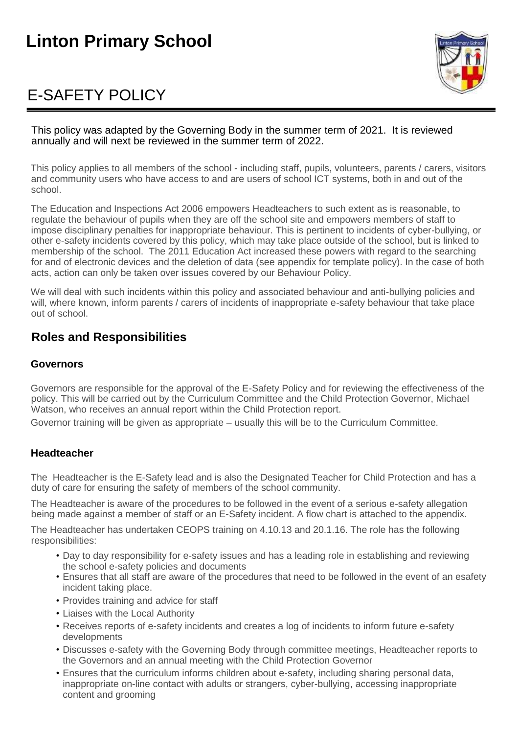# **Linton Primary School**

# E-SAFETY POLICY



This policy was adapted by the Governing Body in the summer term of 2021. It is reviewed annually and will next be reviewed in the summer term of 2022.

This policy applies to all members of the school - including staff, pupils, volunteers, parents / carers, visitors and community users who have access to and are users of school ICT systems, both in and out of the school.

The Education and Inspections Act 2006 empowers Headteachers to such extent as is reasonable, to regulate the behaviour of pupils when they are off the school site and empowers members of staff to impose disciplinary penalties for inappropriate behaviour. This is pertinent to incidents of cyber-bullying, or other e-safety incidents covered by this policy, which may take place outside of the school, but is linked to membership of the school. The 2011 Education Act increased these powers with regard to the searching for and of electronic devices and the deletion of data (see appendix for template policy). In the case of both acts, action can only be taken over issues covered by our Behaviour Policy.

We will deal with such incidents within this policy and associated behaviour and anti-bullying policies and will, where known, inform parents / carers of incidents of inappropriate e-safety behaviour that take place out of school.

# **Roles and Responsibilities**

### **Governors**

Governors are responsible for the approval of the E-Safety Policy and for reviewing the effectiveness of the policy. This will be carried out by the Curriculum Committee and the Child Protection Governor, Michael Watson, who receives an annual report within the Child Protection report.

Governor training will be given as appropriate – usually this will be to the Curriculum Committee.

### **Headteacher**

TheHeadteacher is the E-Safety lead and is also the Designated Teacher for Child Protection and has a duty of care for ensuring the safety of members of the school community.

The Headteacher is aware of the procedures to be followed in the event of a serious e-safety allegation being made against a member of staff or an E-Safety incident. A flow chart is attached to the appendix.

The Headteacher has undertaken CEOPS training on 4.10.13 and 20.1.16. The role has the following responsibilities:

- Day to day responsibility for e-safety issues and has a leading role in establishing and reviewing the school e-safety policies and documents
- Ensures that all staff are aware of the procedures that need to be followed in the event of an esafety incident taking place.
- Provides training and advice for staff
- Liaises with the Local Authority
- Receives reports of e-safety incidents and creates a log of incidents to inform future e-safety developments
- Discusses e-safety with the Governing Body through committee meetings, Headteacher reports to the Governors and an annual meeting with the Child Protection Governor
- Ensures that the curriculum informs children about e-safety, including sharing personal data, inappropriate on-line contact with adults or strangers, cyber-bullying, accessing inappropriate content and grooming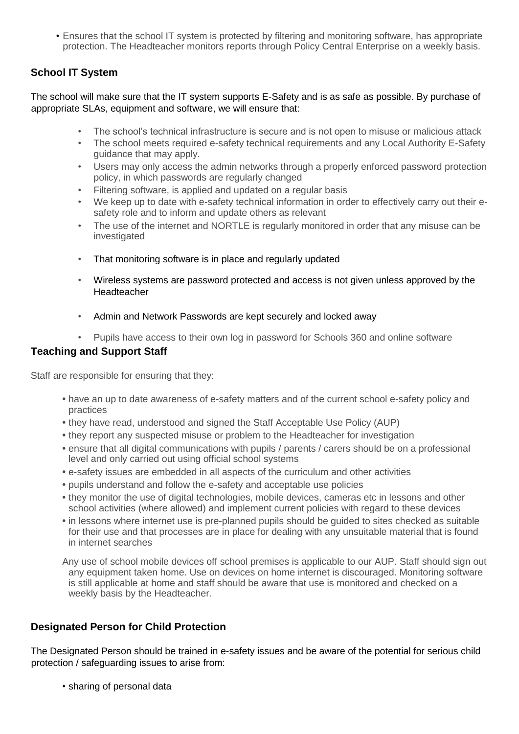• Ensures that the school IT system is protected by filtering and monitoring software, has appropriate protection. The Headteacher monitors reports through Policy Central Enterprise on a weekly basis.

# **School IT System**

The school will make sure that the IT system supports E-Safety and is as safe as possible. By purchase of appropriate SLAs, equipment and software, we will ensure that:

- The school's technical infrastructure is secure and is not open to misuse or malicious attack
- The school meets required e-safety technical requirements and any Local Authority E-Safety guidance that may apply.
- Users may only access the admin networks through a properly enforced password protection policy, in which passwords are regularly changed
- Filtering software, is applied and updated on a regular basis
- We keep up to date with e-safety technical information in order to effectively carry out their esafety role and to inform and update others as relevant
- The use of the internet and NORTLE is regularly monitored in order that any misuse can be investigated
- That monitoring software is in place and regularly updated
- Wireless systems are password protected and access is not given unless approved by the Headteacher
- Admin and Network Passwords are kept securely and locked away
- Pupils have access to their own log in password for Schools 360 and online software

#### **Teaching and Support Staff**

Staff are responsible for ensuring that they:

- **•** have an up to date awareness of e-safety matters and of the current school e-safety policy and practices
- **•** they have read, understood and signed the Staff Acceptable Use Policy (AUP)
- **•** they report any suspected misuse or problem to the Headteacher for investigation
- **•** ensure that all digital communications with pupils / parents / carers should be on a professional level and only carried out using official school systems
- **•** e-safety issues are embedded in all aspects of the curriculum and other activities
- **•** pupils understand and follow the e-safety and acceptable use policies
- **•** they monitor the use of digital technologies, mobile devices, cameras etc in lessons and other school activities (where allowed) and implement current policies with regard to these devices
- **•** in lessons where internet use is pre-planned pupils should be guided to sites checked as suitable for their use and that processes are in place for dealing with any unsuitable material that is found in internet searches

Any use of school mobile devices off school premises is applicable to our AUP. Staff should sign out any equipment taken home. Use on devices on home internet is discouraged. Monitoring software is still applicable at home and staff should be aware that use is monitored and checked on a weekly basis by the Headteacher.

### **Designated Person for Child Protection**

The Designated Person should be trained in e-safety issues and be aware of the potential for serious child protection / safeguarding issues to arise from:

• sharing of personal data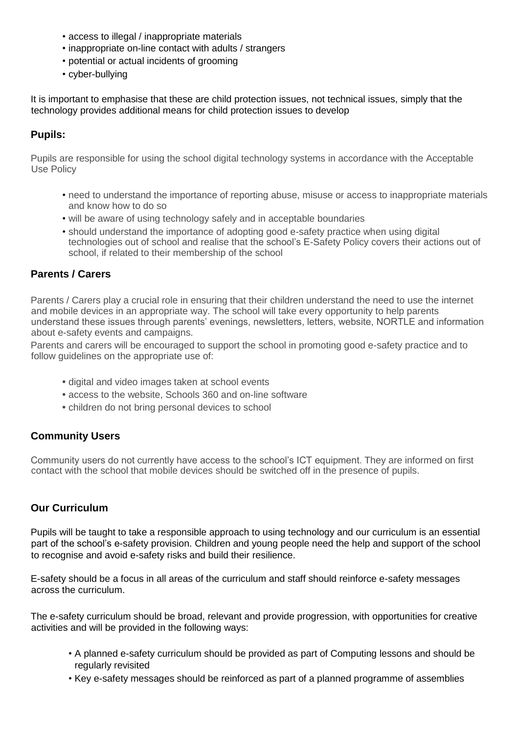- access to illegal / inappropriate materials
- inappropriate on-line contact with adults / strangers
- potential or actual incidents of grooming
- cyber-bullying

It is important to emphasise that these are child protection issues, not technical issues, simply that the technology provides additional means for child protection issues to develop

# **Pupils:**

Pupils are responsible for using the school digital technology systems in accordance with the Acceptable Use Policy

- need to understand the importance of reporting abuse, misuse or access to inappropriate materials and know how to do so
- will be aware of using technology safely and in acceptable boundaries
- should understand the importance of adopting good e-safety practice when using digital technologies out of school and realise that the school's E-Safety Policy covers their actions out of school, if related to their membership of the school

# **Parents / Carers**

Parents / Carers play a crucial role in ensuring that their children understand the need to use the internet and mobile devices in an appropriate way. The school will take every opportunity to help parents understand these issues through parents' evenings, newsletters, letters, website, NORTLE and information about e-safety events and campaigns.

Parents and carers will be encouraged to support the school in promoting good e-safety practice and to follow guidelines on the appropriate use of:

- **•** digital and video images taken at school events
- **•** access to the website, Schools 360 and on-line software
- **•** children do not bring personal devices to school

# **Community Users**

Community users do not currently have access to the school's ICT equipment. They are informed on first contact with the school that mobile devices should be switched off in the presence of pupils.

### **Our Curriculum**

Pupils will be taught to take a responsible approach to using technology and our curriculum is an essential part of the school's e-safety provision. Children and young people need the help and support of the school to recognise and avoid e-safety risks and build their resilience.

E-safety should be a focus in all areas of the curriculum and staff should reinforce e-safety messages across the curriculum.

The e-safety curriculum should be broad, relevant and provide progression, with opportunities for creative activities and will be provided in the following ways:

- A planned e-safety curriculum should be provided as part of Computing lessons and should be regularly revisited
- Key e-safety messages should be reinforced as part of a planned programme of assemblies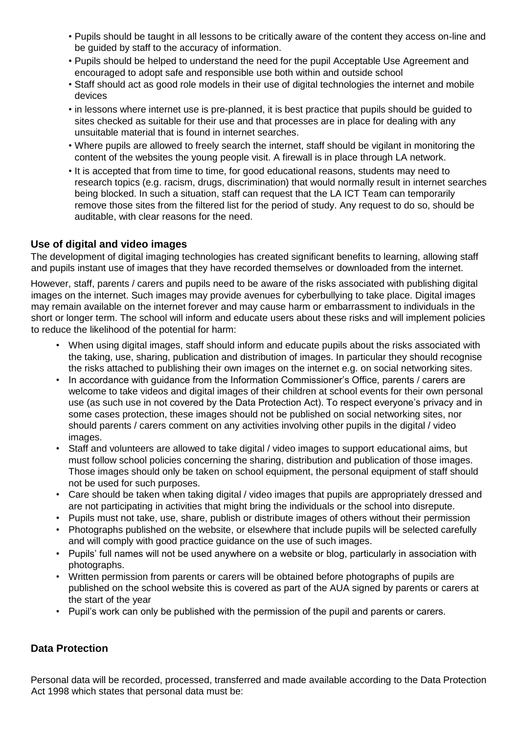- Pupils should be taught in all lessons to be critically aware of the content they access on-line and be guided by staff to the accuracy of information.
- Pupils should be helped to understand the need for the pupil Acceptable Use Agreement and encouraged to adopt safe and responsible use both within and outside school
- Staff should act as good role models in their use of digital technologies the internet and mobile devices
- in lessons where internet use is pre-planned, it is best practice that pupils should be guided to sites checked as suitable for their use and that processes are in place for dealing with any unsuitable material that is found in internet searches.
- Where pupils are allowed to freely search the internet, staff should be vigilant in monitoring the content of the websites the young people visit. A firewall is in place through LA network.
- It is accepted that from time to time, for good educational reasons, students may need to research topics (e.g. racism, drugs, discrimination) that would normally result in internet searches being blocked. In such a situation, staff can request that the LA ICT Team can temporarily remove those sites from the filtered list for the period of study. Any request to do so, should be auditable, with clear reasons for the need.

## **Use of digital and video images**

The development of digital imaging technologies has created significant benefits to learning, allowing staff and pupils instant use of images that they have recorded themselves or downloaded from the internet.

However, staff, parents / carers and pupils need to be aware of the risks associated with publishing digital images on the internet. Such images may provide avenues for cyberbullying to take place. Digital images may remain available on the internet forever and may cause harm or embarrassment to individuals in the short or longer term. The school will inform and educate users about these risks and will implement policies to reduce the likelihood of the potential for harm:

- When using digital images, staff should inform and educate pupils about the risks associated with the taking, use, sharing, publication and distribution of images. In particular they should recognise the risks attached to publishing their own images on the internet e.g. on social networking sites.
- In accordance with guidance from the Information Commissioner's Office, parents / carers are welcome to take videos and digital images of their children at school events for their own personal use (as such use in not covered by the Data Protection Act). To respect everyone's privacy and in some cases protection, these images should not be published on social networking sites, nor should parents / carers comment on any activities involving other pupils in the digital / video images.
- Staff and volunteers are allowed to take digital / video images to support educational aims, but must follow school policies concerning the sharing, distribution and publication of those images. Those images should only be taken on school equipment, the personal equipment of staff should not be used for such purposes.
- Care should be taken when taking digital / video images that pupils are appropriately dressed and are not participating in activities that might bring the individuals or the school into disrepute.
- Pupils must not take, use, share, publish or distribute images of others without their permission
- Photographs published on the website, or elsewhere that include pupils will be selected carefully and will comply with good practice guidance on the use of such images.
- Pupils' full names will not be used anywhere on a website or blog, particularly in association with photographs.
- Written permission from parents or carers will be obtained before photographs of pupils are published on the school website this is covered as part of the AUA signed by parents or carers at the start of the year
- Pupil's work can only be published with the permission of the pupil and parents or carers.

# **Data Protection**

Personal data will be recorded, processed, transferred and made available according to the Data Protection Act 1998 which states that personal data must be: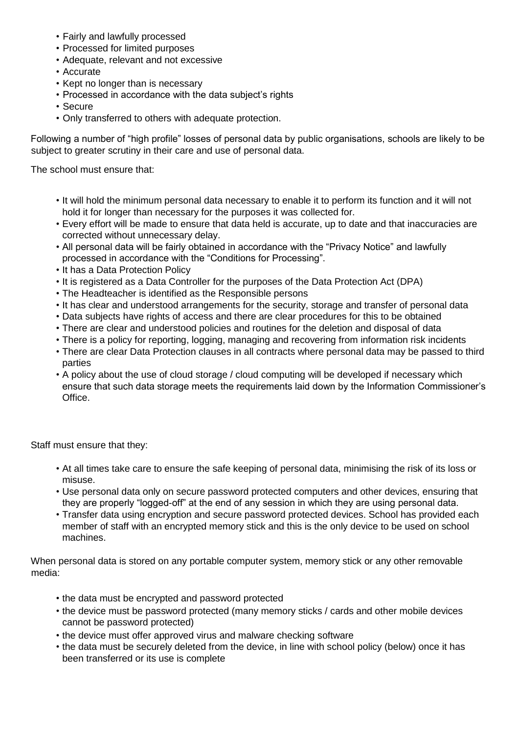- Fairly and lawfully processed
- Processed for limited purposes
- Adequate, relevant and not excessive
- Accurate
- Kept no longer than is necessary
- Processed in accordance with the data subject's rights
- Secure
- Only transferred to others with adequate protection.

Following a number of "high profile" losses of personal data by public organisations, schools are likely to be subject to greater scrutiny in their care and use of personal data.

The school must ensure that:

- It will hold the minimum personal data necessary to enable it to perform its function and it will not hold it for longer than necessary for the purposes it was collected for.
- Every effort will be made to ensure that data held is accurate, up to date and that inaccuracies are corrected without unnecessary delay.
- All personal data will be fairly obtained in accordance with the "Privacy Notice" and lawfully processed in accordance with the "Conditions for Processing".
- It has a Data Protection Policy
- It is registered as a Data Controller for the purposes of the Data Protection Act (DPA)
- The Headteacher is identified as the Responsible persons
- It has clear and understood arrangements for the security, storage and transfer of personal data
- Data subjects have rights of access and there are clear procedures for this to be obtained
- There are clear and understood policies and routines for the deletion and disposal of data
- There is a policy for reporting, logging, managing and recovering from information risk incidents
- There are clear Data Protection clauses in all contracts where personal data may be passed to third parties
- A policy about the use of cloud storage / cloud computing will be developed if necessary which ensure that such data storage meets the requirements laid down by the Information Commissioner's **Office**

Staff must ensure that they:

- At all times take care to ensure the safe keeping of personal data, minimising the risk of its loss or misuse.
- Use personal data only on secure password protected computers and other devices, ensuring that they are properly "logged-off" at the end of any session in which they are using personal data.
- Transfer data using encryption and secure password protected devices. School has provided each member of staff with an encrypted memory stick and this is the only device to be used on school machines.

When personal data is stored on any portable computer system, memory stick or any other removable media:

- the data must be encrypted and password protected
- the device must be password protected (many memory sticks / cards and other mobile devices cannot be password protected)
- the device must offer approved virus and malware checking software
- the data must be securely deleted from the device, in line with school policy (below) once it has been transferred or its use is complete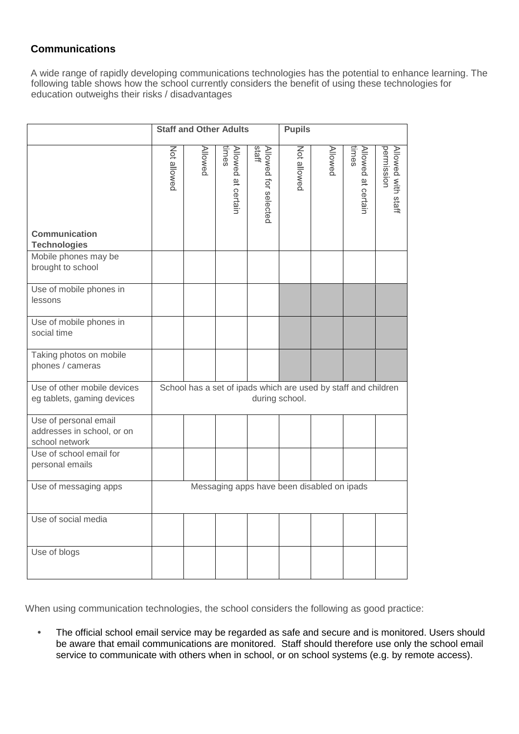# **Communications**

A wide range of rapidly developing communications technologies has the potential to enhance learning. The following table shows how the school currently considers the benefit of using these technologies for education outweighs their risks / disadvantages

|                                                                       | <b>Staff and Other Adults</b>                                                    |         |                             | <b>Pupils</b>                 |             |         |                             |                                  |
|-----------------------------------------------------------------------|----------------------------------------------------------------------------------|---------|-----------------------------|-------------------------------|-------------|---------|-----------------------------|----------------------------------|
| Communication<br><b>Technologies</b>                                  | Not allowed                                                                      | Allowed | times<br>Allowed at certain | staff<br>Allowed for selected | Not allowed | Allowed | times<br>Allowed at certain | permission<br>Allowed with staff |
| Mobile phones may be<br>brought to school                             |                                                                                  |         |                             |                               |             |         |                             |                                  |
| Use of mobile phones in<br>lessons                                    |                                                                                  |         |                             |                               |             |         |                             |                                  |
| Use of mobile phones in<br>social time                                |                                                                                  |         |                             |                               |             |         |                             |                                  |
| Taking photos on mobile<br>phones / cameras                           |                                                                                  |         |                             |                               |             |         |                             |                                  |
| Use of other mobile devices<br>eg tablets, gaming devices             | School has a set of ipads which are used by staff and children<br>during school. |         |                             |                               |             |         |                             |                                  |
| Use of personal email<br>addresses in school, or on<br>school network |                                                                                  |         |                             |                               |             |         |                             |                                  |
| Use of school email for<br>personal emails                            |                                                                                  |         |                             |                               |             |         |                             |                                  |
| Use of messaging apps                                                 | Messaging apps have been disabled on ipads                                       |         |                             |                               |             |         |                             |                                  |
| Use of social media                                                   |                                                                                  |         |                             |                               |             |         |                             |                                  |
| Use of blogs                                                          |                                                                                  |         |                             |                               |             |         |                             |                                  |

When using communication technologies, the school considers the following as good practice:

**•** The official school email service may be regarded as safe and secure and is monitored. Users should be aware that email communications are monitored. Staff should therefore use only the school email service to communicate with others when in school, or on school systems (e.g. by remote access).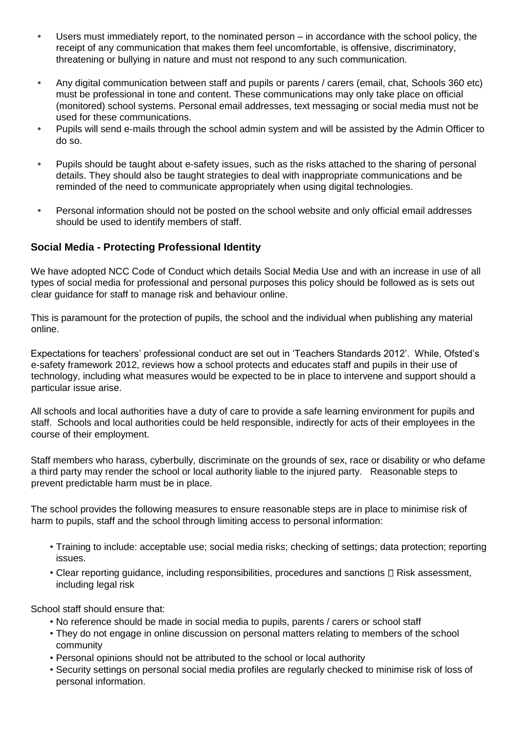- **•** Users must immediately report, to the nominated person in accordance with the school policy, the receipt of any communication that makes them feel uncomfortable, is offensive, discriminatory, threatening or bullying in nature and must not respond to any such communication.
- **•** Any digital communication between staff and pupils or parents / carers (email, chat, Schools 360 etc) must be professional in tone and content. These communications may only take place on official (monitored) school systems. Personal email addresses, text messaging or social media must not be used for these communications.
- **•** Pupils will send e-mails through the school admin system and will be assisted by the Admin Officer to do so.
- **•** Pupils should be taught about e-safety issues, such as the risks attached to the sharing of personal details. They should also be taught strategies to deal with inappropriate communications and be reminded of the need to communicate appropriately when using digital technologies.
- **•** Personal information should not be posted on the school website and only official email addresses should be used to identify members of staff.

### **Social Media - Protecting Professional Identity**

We have adopted NCC Code of Conduct which details Social Media Use and with an increase in use of all types of social media for professional and personal purposes this policy should be followed as is sets out clear guidance for staff to manage risk and behaviour online.

This is paramount for the protection of pupils, the school and the individual when publishing any material online.

Expectations for teachers' professional conduct are set out in 'Teachers Standards 2012'. While, Ofsted's e-safety framework 2012, reviews how a school protects and educates staff and pupils in their use of technology, including what measures would be expected to be in place to intervene and support should a particular issue arise.

All schools and local authorities have a duty of care to provide a safe learning environment for pupils and staff. Schools and local authorities could be held responsible, indirectly for acts of their employees in the course of their employment.

Staff members who harass, cyberbully, discriminate on the grounds of sex, race or disability or who defame a third party may render the school or local authority liable to the injured party. Reasonable steps to prevent predictable harm must be in place.

The school provides the following measures to ensure reasonable steps are in place to minimise risk of harm to pupils, staff and the school through limiting access to personal information:

- Training to include: acceptable use; social media risks; checking of settings; data protection; reporting issues.
- Clear reporting guidance, including responsibilities, procedures and sanctions  $\Box$  Risk assessment, including legal risk

School staff should ensure that:

- No reference should be made in social media to pupils, parents / carers or school staff
- They do not engage in online discussion on personal matters relating to members of the school community
- Personal opinions should not be attributed to the school or local authority
- Security settings on personal social media profiles are regularly checked to minimise risk of loss of personal information.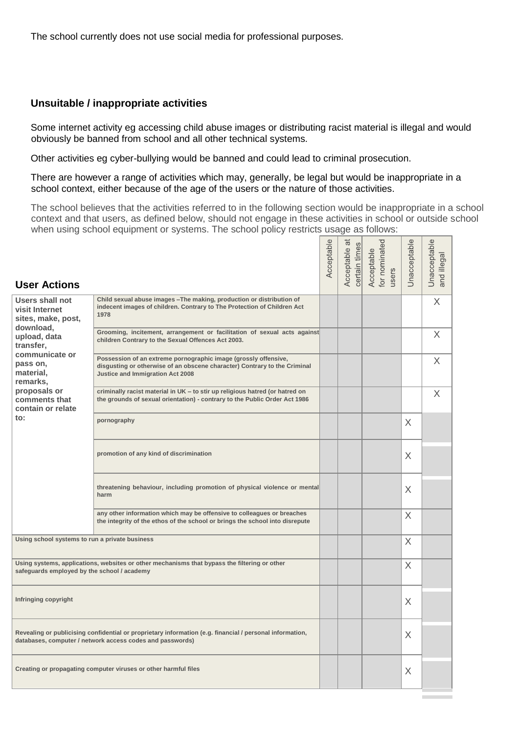The school currently does not use social media for professional purposes.

#### **Unsuitable / inappropriate activities**

Some internet activity eg accessing child abuse images or distributing racist material is illegal and would obviously be banned from school and all other technical systems.

Other activities eg cyber-bullying would be banned and could lead to criminal prosecution.

There are however a range of activities which may, generally, be legal but would be inappropriate in a school context, either because of the age of the users or the nature of those activities.

The school believes that the activities referred to in the following section would be inappropriate in a school context and that users, as defined below, should not engage in these activities in school or outside school when using school equipment or systems. The school policy restricts usage as follows:

| <b>User Actions</b>                                                                                                                                                   |                                                                                                                                                                                  | Acceptable | $\omega$<br>certain times<br>Acceptable | for nominated<br>Acceptable<br>users | Unacceptable | Unacceptable<br>and illegal |
|-----------------------------------------------------------------------------------------------------------------------------------------------------------------------|----------------------------------------------------------------------------------------------------------------------------------------------------------------------------------|------------|-----------------------------------------|--------------------------------------|--------------|-----------------------------|
| <b>Users shall not</b><br>visit Internet<br>sites, make, post,                                                                                                        | Child sexual abuse images - The making, production or distribution of<br>indecent images of children. Contrary to The Protection of Children Act<br>1978                         |            |                                         |                                      |              | X                           |
| download,<br>upload, data<br>transfer,                                                                                                                                | Grooming, incitement, arrangement or facilitation of sexual acts against<br>children Contrary to the Sexual Offences Act 2003.                                                   |            |                                         |                                      |              | X                           |
| communicate or<br>pass on,<br>material,<br>remarks,                                                                                                                   | Possession of an extreme pornographic image (grossly offensive,<br>disgusting or otherwise of an obscene character) Contrary to the Criminal<br>Justice and Immigration Act 2008 |            |                                         |                                      |              | X                           |
| proposals or<br>comments that<br>contain or relate                                                                                                                    | criminally racist material in UK - to stir up religious hatred (or hatred on<br>the grounds of sexual orientation) - contrary to the Public Order Act 1986                       |            |                                         |                                      |              | X                           |
| $\mathsf{to}$ :                                                                                                                                                       | pornography                                                                                                                                                                      |            |                                         |                                      | X.           |                             |
|                                                                                                                                                                       | promotion of any kind of discrimination                                                                                                                                          |            |                                         |                                      | X            |                             |
|                                                                                                                                                                       | threatening behaviour, including promotion of physical violence or mental<br>harm                                                                                                |            |                                         |                                      | X            |                             |
|                                                                                                                                                                       | any other information which may be offensive to colleagues or breaches<br>the integrity of the ethos of the school or brings the school into disrepute                           |            |                                         |                                      | X            |                             |
| Using school systems to run a private business                                                                                                                        |                                                                                                                                                                                  |            |                                         |                                      | X            |                             |
| Using systems, applications, websites or other mechanisms that bypass the filtering or other<br>safeguards employed by the school / academy                           |                                                                                                                                                                                  |            |                                         |                                      | X            |                             |
| Infringing copyright                                                                                                                                                  |                                                                                                                                                                                  |            |                                         |                                      | Χ            |                             |
| Revealing or publicising confidential or proprietary information (e.g. financial / personal information,<br>databases, computer / network access codes and passwords) |                                                                                                                                                                                  |            |                                         |                                      | X.           |                             |
|                                                                                                                                                                       | Creating or propagating computer viruses or other harmful files                                                                                                                  |            |                                         |                                      | Χ            |                             |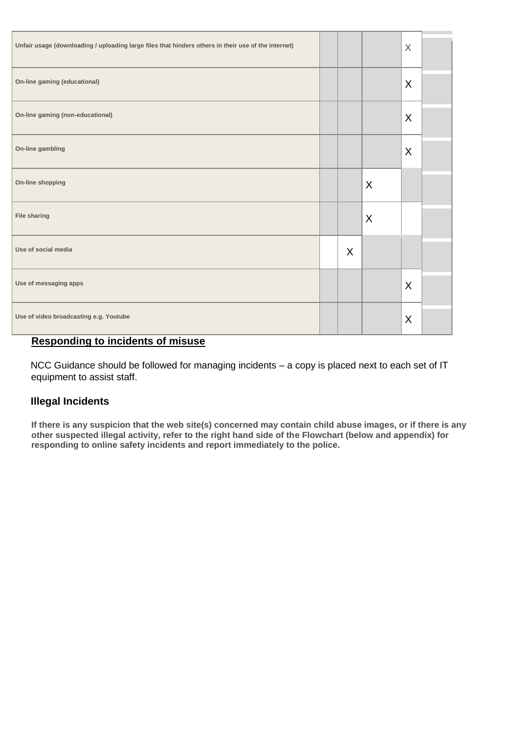| Unfair usage (downloading / uploading large files that hinders others in their use of the internet) |   |   | X       |  |
|-----------------------------------------------------------------------------------------------------|---|---|---------|--|
| On-line gaming (educational)                                                                        |   |   | X       |  |
| On-line gaming (non-educational)                                                                    |   |   | X       |  |
| On-line gambling                                                                                    |   |   | X       |  |
| On-line shopping                                                                                    |   | X |         |  |
| <b>File sharing</b>                                                                                 |   | X |         |  |
| Use of social media                                                                                 | X |   |         |  |
| Use of messaging apps                                                                               |   |   | X       |  |
| Use of video broadcasting e.g. Youtube                                                              |   |   | $\sf X$ |  |

# **Responding to incidents of misuse**

NCC Guidance should be followed for managing incidents – a copy is placed next to each set of IT equipment to assist staff.

# **Illegal Incidents**

**If there is any suspicion that the web site(s) concerned may contain child abuse images, or if there is any other suspected illegal activity, refer to the right hand side of the Flowchart (below and appendix) for responding to online safety incidents and report immediately to the police.**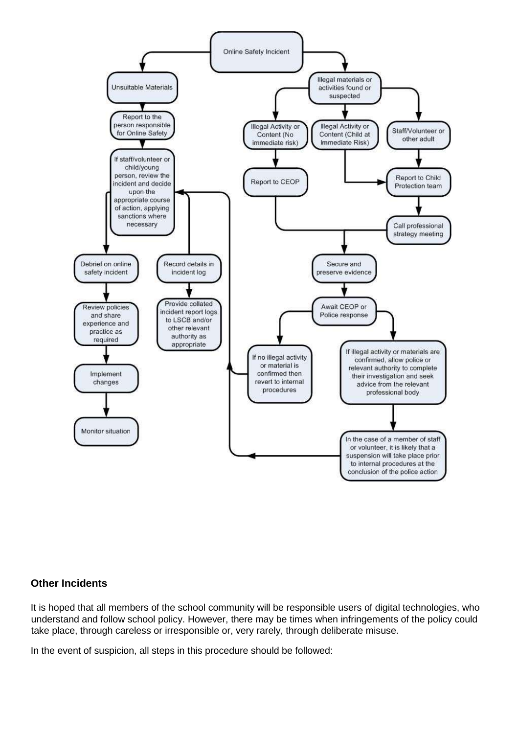

### **Other Incidents**

It is hoped that all members of the school community will be responsible users of digital technologies, who understand and follow school policy. However, there may be times when infringements of the policy could take place, through careless or irresponsible or, very rarely, through deliberate misuse.

In the event of suspicion, all steps in this procedure should be followed: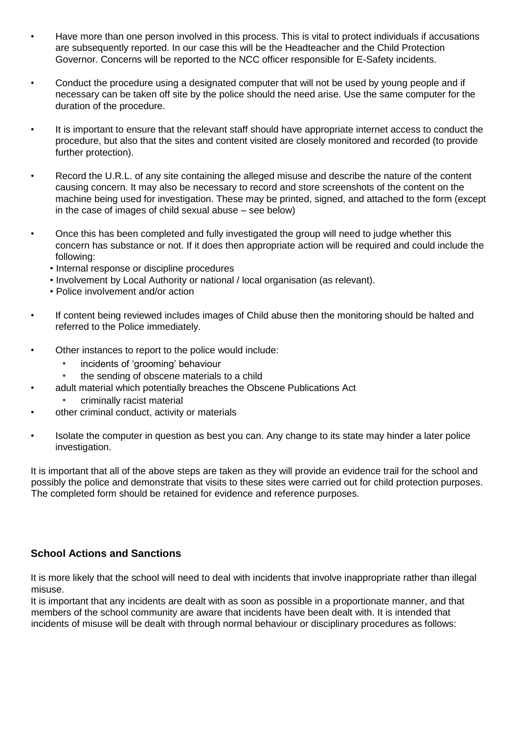- Have more than one person involved in this process. This is vital to protect individuals if accusations are subsequently reported. In our case this will be the Headteacher and the Child Protection Governor. Concerns will be reported to the NCC officer responsible for E-Safety incidents.
- Conduct the procedure using a designated computer that will not be used by young people and if necessary can be taken off site by the police should the need arise. Use the same computer for the duration of the procedure.
- It is important to ensure that the relevant staff should have appropriate internet access to conduct the procedure, but also that the sites and content visited are closely monitored and recorded (to provide further protection).
- Record the U.R.L. of any site containing the alleged misuse and describe the nature of the content causing concern. It may also be necessary to record and store screenshots of the content on the machine being used for investigation. These may be printed, signed, and attached to the form (except in the case of images of child sexual abuse – see below)
- Once this has been completed and fully investigated the group will need to judge whether this concern has substance or not. If it does then appropriate action will be required and could include the following:
	- Internal response or discipline procedures
	- Involvement by Local Authority or national / local organisation (as relevant).
	- Police involvement and/or action
- If content being reviewed includes images of Child abuse then the monitoring should be halted and referred to the Police immediately.
- Other instances to report to the police would include:
	- *•* incidents of 'grooming' behaviour
	- *•* the sending of obscene materials to a child
- adult material which potentially breaches the Obscene Publications Act
	- criminally racist material
- other criminal conduct, activity or materials
- Isolate the computer in question as best you can. Any change to its state may hinder a later police investigation.

It is important that all of the above steps are taken as they will provide an evidence trail for the school and possibly the police and demonstrate that visits to these sites were carried out for child protection purposes. The completed form should be retained for evidence and reference purposes.

# **School Actions and Sanctions**

It is more likely that the school will need to deal with incidents that involve inappropriate rather than illegal misuse.

It is important that any incidents are dealt with as soon as possible in a proportionate manner, and that members of the school community are aware that incidents have been dealt with. It is intended that incidents of misuse will be dealt with through normal behaviour or disciplinary procedures as follows: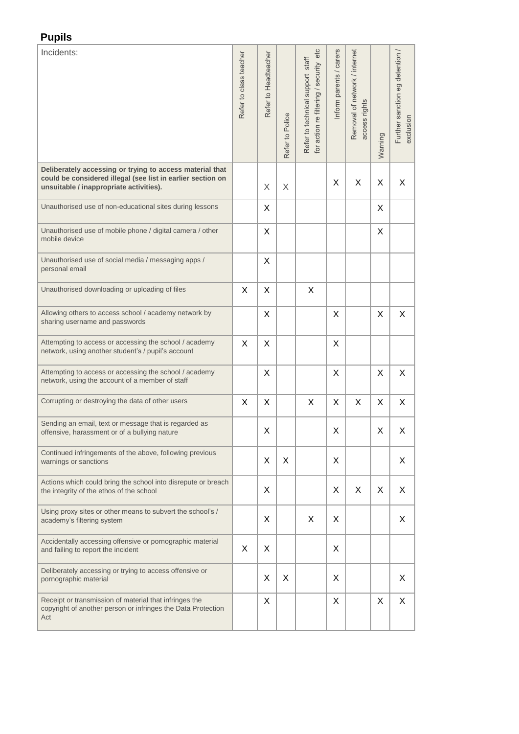# **Pupils**

| Incidents:                                                                                                                                                         | Refer to class teacher | Refer to Headteacher | Refer to Police | for action re filtering / security etc<br>Refer to technical support staff | nform parents / carers | Removal of network / internet<br>access rights | Warning | Further sanction eg detention /<br>noisuloxe |
|--------------------------------------------------------------------------------------------------------------------------------------------------------------------|------------------------|----------------------|-----------------|----------------------------------------------------------------------------|------------------------|------------------------------------------------|---------|----------------------------------------------|
| Deliberately accessing or trying to access material that<br>could be considered illegal (see list in earlier section on<br>unsuitable / inappropriate activities). |                        | X                    | X               |                                                                            | X                      | X                                              | Χ       | X                                            |
| Unauthorised use of non-educational sites during lessons                                                                                                           |                        | X                    |                 |                                                                            |                        |                                                | X       |                                              |
| Unauthorised use of mobile phone / digital camera / other<br>mobile device                                                                                         |                        | X                    |                 |                                                                            |                        |                                                | X       |                                              |
| Unauthorised use of social media / messaging apps /<br>personal email                                                                                              |                        | X                    |                 |                                                                            |                        |                                                |         |                                              |
| Unauthorised downloading or uploading of files                                                                                                                     | X                      | X                    |                 | X                                                                          |                        |                                                |         |                                              |
| Allowing others to access school / academy network by<br>sharing username and passwords                                                                            |                        | X                    |                 |                                                                            | X                      |                                                | X       | X                                            |
| Attempting to access or accessing the school / academy<br>network, using another student's / pupil's account                                                       | X                      | X                    |                 |                                                                            | X                      |                                                |         |                                              |
| Attempting to access or accessing the school / academy<br>network, using the account of a member of staff                                                          |                        | X                    |                 |                                                                            | X                      |                                                | X       | X                                            |
| Corrupting or destroying the data of other users                                                                                                                   | X                      | X                    |                 | Χ                                                                          | Χ                      | X                                              | X       | X                                            |
| Sending an email, text or message that is regarded as<br>offensive, harassment or of a bullying nature                                                             |                        | Χ                    |                 |                                                                            | Χ                      |                                                | X       | Χ                                            |
| Continued infringements of the above, following previous<br>warnings or sanctions                                                                                  |                        | X                    | X               |                                                                            | X                      |                                                |         | X                                            |
| Actions which could bring the school into disrepute or breach<br>the integrity of the ethos of the school                                                          |                        | X                    |                 |                                                                            | X                      | X                                              | X       | X                                            |
| Using proxy sites or other means to subvert the school's /<br>academy's filtering system                                                                           |                        | X                    |                 | X                                                                          | X                      |                                                |         | X                                            |
| Accidentally accessing offensive or pornographic material<br>and failing to report the incident                                                                    | X                      | X                    |                 |                                                                            | X                      |                                                |         |                                              |
| Deliberately accessing or trying to access offensive or<br>pornographic material                                                                                   |                        | X                    | X               |                                                                            | X                      |                                                |         | X                                            |
| Receipt or transmission of material that infringes the<br>copyright of another person or infringes the Data Protection<br>Act                                      |                        | X                    |                 |                                                                            | X                      |                                                | X       | X                                            |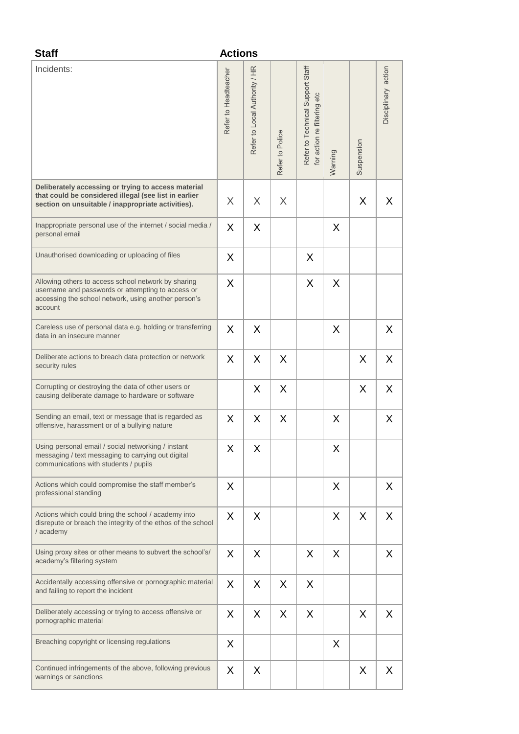| <b>Staff</b>                                                                                                                                                                | <b>Actions</b>       |                               |                 |                                                                 |         |            |                     |
|-----------------------------------------------------------------------------------------------------------------------------------------------------------------------------|----------------------|-------------------------------|-----------------|-----------------------------------------------------------------|---------|------------|---------------------|
| Incidents:                                                                                                                                                                  | Refer to Headteacher | Refer to Local Authority / HR | Refer to Police | Refer to Technical Support Staff<br>for action re filtering etc | Warning | Suspension | Disciplinary action |
| Deliberately accessing or trying to access material<br>that could be considered illegal (see list in earlier<br>section on unsuitable / inappropriate activities).          | X                    | X                             | X               |                                                                 |         | X          | X                   |
| Inappropriate personal use of the internet / social media /<br>personal email                                                                                               | X                    | X                             |                 |                                                                 | X       |            |                     |
| Unauthorised downloading or uploading of files                                                                                                                              | X                    |                               |                 | X                                                               |         |            |                     |
| Allowing others to access school network by sharing<br>username and passwords or attempting to access or<br>accessing the school network, using another person's<br>account | X                    |                               |                 | X                                                               | X       |            |                     |
| Careless use of personal data e.g. holding or transferring<br>data in an insecure manner                                                                                    | X                    | X                             |                 |                                                                 | X       |            | X                   |
| Deliberate actions to breach data protection or network<br>security rules                                                                                                   | X                    | X                             | X               |                                                                 |         | X          | X                   |
| Corrupting or destroying the data of other users or<br>causing deliberate damage to hardware or software                                                                    |                      | X                             | X               |                                                                 |         | X          | X                   |
| Sending an email, text or message that is regarded as<br>offensive, harassment or of a bullying nature                                                                      | X                    | X                             | X               |                                                                 | X       |            | X                   |
| Using personal email / social networking / instant<br>messaging / text messaging to carrying out digital<br>communications with students / pupils                           | X                    | X                             |                 |                                                                 | X       |            |                     |
| Actions which could compromise the staff member's<br>professional standing                                                                                                  | X                    |                               |                 |                                                                 | X       |            | X                   |
| Actions which could bring the school / academy into<br>disrepute or breach the integrity of the ethos of the school<br>/ academy                                            | X                    | X                             |                 |                                                                 | X       | X          | X                   |
| Using proxy sites or other means to subvert the school's/<br>academy's filtering system                                                                                     | X                    | X                             |                 | X                                                               | X       |            | X                   |
| Accidentally accessing offensive or pornographic material<br>and failing to report the incident                                                                             | X                    | X                             | X               | X                                                               |         |            |                     |
| Deliberately accessing or trying to access offensive or<br>pornographic material                                                                                            | X                    | X                             | X               | X                                                               |         | X          | X                   |
| Breaching copyright or licensing regulations                                                                                                                                | X                    |                               |                 |                                                                 | X       |            |                     |
| Continued infringements of the above, following previous<br>warnings or sanctions                                                                                           | X                    | X                             |                 |                                                                 |         | X          | X                   |